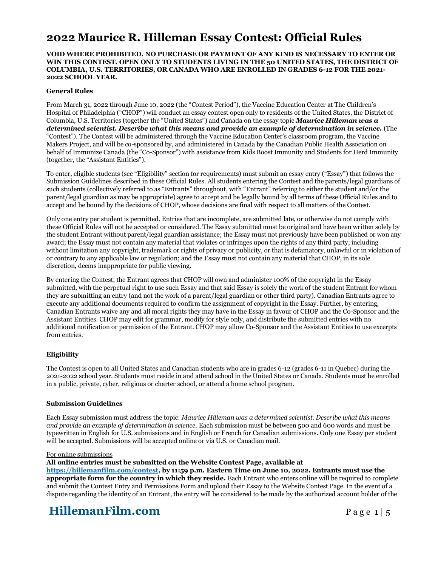## **2022 Maurice R. Hilleman Essay Contest: Official Rules**

### **VOID WHERE PROHIBITED. NO PURCHASE OR PAYMENT OF ANY KIND IS NECESSARY TO ENTER OR WIN THIS CONTEST. OPEN ONLY TO STUDENTS LIVING IN THE 50 UNITED STATES, THE DISTRICT OF COLUMBIA, U.S. TERRITORIES, OR CANADA WHO ARE ENROLLED IN GRADES 6-12 FOR THE 2021- 2022 SCHOOL YEAR.**

## **General Rules**

From March 31, 2022 through June 10, 2022 (the "Contest Period"), the Vaccine Education Center at The Children's Hospital of Philadelphia ("CHOP") will conduct an essay contest open only to residents of the United States, the District of Columbia, U.S. Territories (together the "United States") and Canada on the essay topic *Maurice Hilleman was a determined scientist. Describe what this means and provide an example of determination in science.* (The "Contest"). The Contest will be administered through the Vaccine Education Center's classroom program, the Vaccine Makers Project, and will be co-sponsored by, and administered in Canada by the Canadian Public Health Association on behalf of Immunize Canada (the "Co-Sponsor") with assistance from Kids Boost Immunity and Students for Herd Immunity (together, the "Assistant Entities").

To enter, eligible students (see "Eligibility" section for requirements) must submit an essay entry ("Essay") that follows the Submission Guidelines described in these Official Rules. All students entering the Contest and the parents/legal guardians of such students (collectively referred to as "Entrants" throughout, with "Entrant" referring to either the student and/or the parent/legal guardian as may be appropriate) agree to accept and be legally bound by all terms of these Official Rules and to accept and be bound by the decisions of CHOP, whose decisions are final with respect to all matters of the Contest.

Only one entry per student is permitted. Entries that are incomplete, are submitted late, or otherwise do not comply with these Official Rules will not be accepted or considered. The Essay submitted must be original and have been written solely by the student Entrant without parent/legal guardian assistance; the Essay must not previously have been published or won any award; the Essay must not contain any material that violates or infringes upon the rights of any third party, including without limitation any copyright, trademark or rights of privacy or publicity, or that is defamatory, unlawful or in violation of or contrary to any applicable law or regulation; and the Essay must not contain any material that CHOP, in its sole discretion, deems inappropriate for public viewing.

By entering the Contest, the Entrant agrees that CHOP will own and administer 100% of the copyright in the Essay submitted, with the perpetual right to use such Essay and that said Essay is solely the work of the student Entrant for whom they are submitting an entry (and not the work of a parent/legal guardian or other third party). Canadian Entrants agree to execute any additional documents required to confirm the assignment of copyright in the Essay. Further, by entering, Canadian Entrants waive any and all moral rights they may have in the Essay in favour of CHOP and the Co-Sponsor and the Assistant Entities. CHOP may edit for grammar, modify for style only, and distribute the submitted entries with no additional notification or permission of the Entrant. CHOP may allow Co-Sponsor and the Assistant Entities to use excerpts from entries.

### **Eligibility**

The Contest is open to all United States and Canadian students who are in grades 6-12 (grades 6-11 in Quebec) during the 2021-2022 school year. Students must reside in and attend school in the United States or Canada. Students must be enrolled in a public, private, cyber, religious or charter school, or attend a home school program.

### **Submission Guidelines**

Each Essay submission must address the topic: *Maurice Hilleman was a determined scientist. Describe what this means and provide an example of determination in science.* Each submission must be between 500 and 600 words and must be typewritten in English for U.S. submissions and in English or French for Canadian submissions. Only one Essay per student will be accepted. Submissions will be accepted online or via U.S. or Canadian mail.

#### For online submissions

### **All online entries must be submitted on the Website Contest Page, available at**

**[https://hillemanfilm.com/contest,](https://hillemanfilm.com/contest) by 11:59 p.m. Eastern Time on June 10, 2022. Entrants must use the appropriate form for the country in which they reside.** Each Entrant who enters online will be required to complete and submit the Contest Entry and Permissions Form and upload their Essay to the Website Contest Page. In the event of a dispute regarding the identity of an Entrant, the entry will be considered to be made by the authorized account holder of the

# **HillemanFilm.com** Page 1 | 5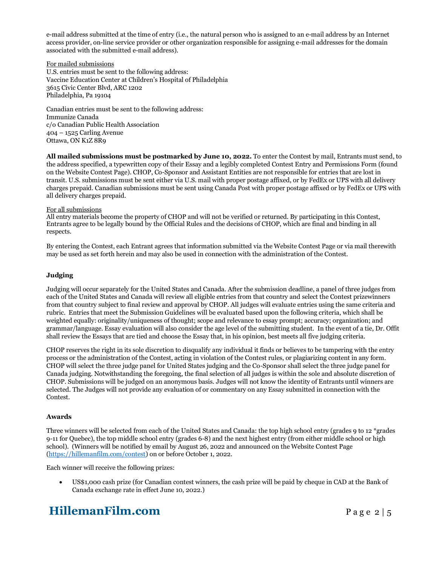e-mail address submitted at the time of entry (i.e., the natural person who is assigned to an e-mail address by an Internet access provider, on-line service provider or other organization responsible for assigning e-mail addresses for the domain associated with the submitted e-mail address).

For mailed submissions

U.S. entries must be sent to the following address: Vaccine Education Center at Children's Hospital of Philadelphia 3615 Civic Center Blvd, ARC 1202 Philadelphia, Pa 19104

Canadian entries must be sent to the following address: Immunize Canada c/o Canadian Public Health Association 404 – 1525 Carling Avenue Ottawa, ON K1Z 8R9

**All mailed submissions must be postmarked by June 10, 2022.** To enter the Contest by mail, Entrants must send, to the address specified, a typewritten copy of their Essay and a legibly completed Contest Entry and Permissions Form (found on the Website Contest Page). CHOP, Co-Sponsor and Assistant Entities are not responsible for entries that are lost in transit. U.S. submissions must be sent either via U.S. mail with proper postage affixed, or by FedEx or UPS with all delivery charges prepaid. Canadian submissions must be sent using Canada Post with proper postage affixed or by FedEx or UPS with all delivery charges prepaid.

## For all submissions

All entry materials become the property of CHOP and will not be verified or returned. By participating in this Contest, Entrants agree to be legally bound by the Official Rules and the decisions of CHOP, which are final and binding in all respects.

By entering the Contest, each Entrant agrees that information submitted via the Website Contest Page or via mail therewith may be used as set forth herein and may also be used in connection with the administration of the Contest.

## **Judging**

Judging will occur separately for the United States and Canada. After the submission deadline, a panel of three judges from each of the United States and Canada will review all eligible entries from that country and select the Contest prizewinners from that country subject to final review and approval by CHOP. All judges will evaluate entries using the same criteria and rubric. Entries that meet the Submission Guidelines will be evaluated based upon the following criteria, which shall be weighted equally: originality/uniqueness of thought; scope and relevance to essay prompt; accuracy; organization; and grammar/language. Essay evaluation will also consider the age level of the submitting student. In the event of a tie, Dr. Offit shall review the Essays that are tied and choose the Essay that, in his opinion, best meets all five judging criteria.

CHOP reserves the right in its sole discretion to disqualify any individual it finds or believes to be tampering with the entry process or the administration of the Contest, acting in violation of the Contest rules, or plagiarizing content in any form. CHOP will select the three judge panel for United States judging and the Co-Sponsor shall select the three judge panel for Canada judging. Notwithstanding the foregoing, the final selection of all judges is within the sole and absolute discretion of CHOP. Submissions will be judged on an anonymous basis. Judges will not know the identity of Entrants until winners are selected. The Judges will not provide any evaluation of or commentary on any Essay submitted in connection with the Contest.

## **Awards**

Three winners will be selected from each of the United States and Canada: the top high school entry (grades 9 to 12 \*grades 9-11 for Quebec), the top middle school entry (grades 6-8) and the next highest entry (from either middle school or high school). (Winners will be notified by email by August 26, 2022 and announced on the Website Contest Page [\(https://hillemanfilm.com/contest\)](https://hillemanfilm.com/contest) on or before October 1, 2022.

Each winner will receive the following prizes:

• US\$1,000 cash prize (for Canadian contest winners, the cash prize will be paid by cheque in CAD at the Bank of Canada exchange rate in effect June 10, 2022.)

# **HillemanFilm.com** Page 2 | 5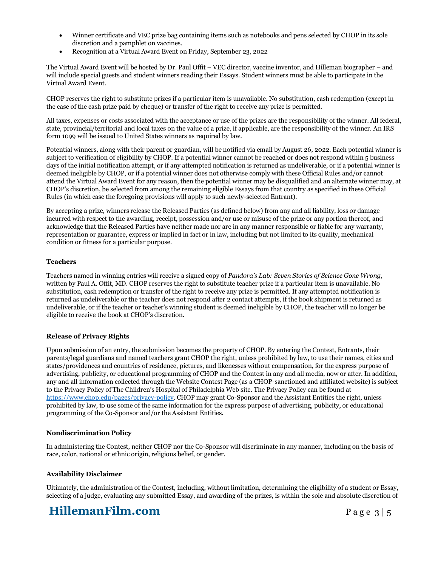- Winner certificate and VEC prize bag containing items such as notebooks and pens selected by CHOP in its sole discretion and a pamphlet on vaccines.
- Recognition at a Virtual Award Event on Friday, September 23, 2022

The Virtual Award Event will be hosted by Dr. Paul Offit – VEC director, vaccine inventor, and Hilleman biographer – and will include special guests and student winners reading their Essays. Student winners must be able to participate in the Virtual Award Event.

CHOP reserves the right to substitute prizes if a particular item is unavailable. No substitution, cash redemption (except in the case of the cash prize paid by cheque) or transfer of the right to receive any prize is permitted.

All taxes, expenses or costs associated with the acceptance or use of the prizes are the responsibility of the winner. All federal, state, provincial/territorial and local taxes on the value of a prize, if applicable, are the responsibility of the winner. An IRS form 1099 will be issued to United States winners as required by law.

Potential winners, along with their parent or guardian, will be notified via email by August 26, 2022. Each potential winner is subject to verification of eligibility by CHOP. If a potential winner cannot be reached or does not respond within 5 business days of the initial notification attempt, or if any attempted notification is returned as undeliverable, or if a potential winner is deemed ineligible by CHOP, or if a potential winner does not otherwise comply with these Official Rules and/or cannot attend the Virtual Award Event for any reason, then the potential winner may be disqualified and an alternate winner may, at CHOP's discretion, be selected from among the remaining eligible Essays from that country as specified in these Official Rules (in which case the foregoing provisions will apply to such newly-selected Entrant).

By accepting a prize, winners release the Released Parties (as defined below) from any and all liability, loss or damage incurred with respect to the awarding, receipt, possession and/or use or misuse of the prize or any portion thereof, and acknowledge that the Released Parties have neither made nor are in any manner responsible or liable for any warranty, representation or guarantee, express or implied in fact or in law, including but not limited to its quality, mechanical condition or fitness for a particular purpose.

## **Teachers**

Teachers named in winning entries will receive a signed copy of *Pandora's Lab: Seven Stories of Science Gone Wrong,* written by Paul A. Offit, MD. CHOP reserves the right to substitute teacher prize if a particular item is unavailable. No substitution, cash redemption or transfer of the right to receive any prize is permitted. If any attempted notification is returned as undeliverable or the teacher does not respond after 2 contact attempts, if the book shipment is returned as undeliverable, or if the teacher or teacher's winning student is deemed ineligible by CHOP, the teacher will no longer be eligible to receive the book at CHOP's discretion.

## **Release of Privacy Rights**

Upon submission of an entry, the submission becomes the property of CHOP. By entering the Contest, Entrants, their parents/legal guardians and named teachers grant CHOP the right, unless prohibited by law, to use their names, cities and states/providences and countries of residence, pictures, and likenesses without compensation, for the express purpose of advertising, publicity, or educational programming of CHOP and the Contest in any and all media, now or after. In addition, any and all information collected through the Website Contest Page (as a CHOP-sanctioned and affiliated website) is subject to the Privacy Policy of The Children's Hospital of Philadelphia Web site. The Privacy Policy can be found at [https://www.chop.edu/pages/privacy-policy.](https://www.chop.edu/pages/privacy-policy) CHOP may grant Co-Sponsor and the Assistant Entities the right, unless prohibited by law, to use some of the same information for the express purpose of advertising, publicity, or educational programming of the Co-Sponsor and/or the Assistant Entities.

### **Nondiscrimination Policy**

In administering the Contest, neither CHOP nor the Co-Sponsor will discriminate in any manner, including on the basis of race, color, national or ethnic origin, religious belief, or gender.

## **Availability Disclaimer**

Ultimately, the administration of the Contest, including, without limitation, determining the eligibility of a student or Essay, selecting of a judge, evaluating any submitted Essay, and awarding of the prizes, is within the sole and absolute discretion of

## **HillemanFilm.com** Page 3 | 5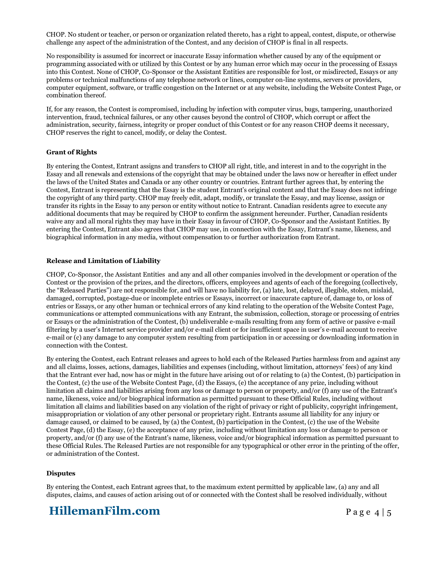CHOP. No student or teacher, or person or organization related thereto, has a right to appeal, contest, dispute, or otherwise challenge any aspect of the administration of the Contest, and any decision of CHOP is final in all respects.

No responsibility is assumed for incorrect or inaccurate Essay information whether caused by any of the equipment or programming associated with or utilized by this Contest or by any human error which may occur in the processing of Essays into this Contest. None of CHOP, Co-Sponsor or the Assistant Entities are responsible for lost, or misdirected, Essays or any problems or technical malfunctions of any telephone network or lines, computer on-line systems, servers or providers, computer equipment, software, or traffic congestion on the Internet or at any website, including the Website Contest Page, or combination thereof.

If, for any reason, the Contest is compromised, including by infection with computer virus, bugs, tampering, unauthorized intervention, fraud, technical failures, or any other causes beyond the control of CHOP, which corrupt or affect the administration, security, fairness, integrity or proper conduct of this Contest or for any reason CHOP deems it necessary, CHOP reserves the right to cancel, modify, or delay the Contest.

## **Grant of Rights**

By entering the Contest, Entrant assigns and transfers to CHOP all right, title, and interest in and to the copyright in the Essay and all renewals and extensions of the copyright that may be obtained under the laws now or hereafter in effect under the laws of the United States and Canada or any other country or countries. Entrant further agrees that, by entering the Contest, Entrant is representing that the Essay is the student Entrant's original content and that the Essay does not infringe the copyright of any third party. CHOP may freely edit, adapt, modify, or translate the Essay, and may license, assign or transfer its rights in the Essay to any person or entity without notice to Entrant. Canadian residents agree to execute any additional documents that may be required by CHOP to confirm the assignment hereunder. Further, Canadian residents waive any and all moral rights they may have in their Essay in favour of CHOP, Co-Sponsor and the Assistant Entities. By entering the Contest, Entrant also agrees that CHOP may use, in connection with the Essay, Entrant's name, likeness, and biographical information in any media, without compensation to or further authorization from Entrant.

### **Release and Limitation of Liability**

CHOP, Co-Sponsor, the Assistant Entities and any and all other companies involved in the development or operation of the Contest or the provision of the prizes, and the directors, officers, employees and agents of each of the foregoing (collectively, the "Released Parties") are not responsible for, and will have no liability for, (a) late, lost, delayed, illegible, stolen, mislaid, damaged, corrupted, postage-due or incomplete entries or Essays, incorrect or inaccurate capture of, damage to, or loss of entries or Essays, or any other human or technical errors of any kind relating to the operation of the Website Contest Page, communications or attempted communications with any Entrant, the submission, collection, storage or processing of entries or Essays or the administration of the Contest, (b) undeliverable e-mails resulting from any form of active or passive e-mail filtering by a user's Internet service provider and/or e-mail client or for insufficient space in user's e-mail account to receive e-mail or (c) any damage to any computer system resulting from participation in or accessing or downloading information in connection with the Contest.

By entering the Contest, each Entrant releases and agrees to hold each of the Released Parties harmless from and against any and all claims, losses, actions, damages, liabilities and expenses (including, without limitation, attorneys' fees) of any kind that the Entrant ever had, now has or might in the future have arising out of or relating to (a) the Contest, (b) participation in the Contest, (c) the use of the Website Contest Page, (d) the Essays, (e) the acceptance of any prize, including without limitation all claims and liabilities arising from any loss or damage to person or property, and/or (f) any use of the Entrant's name, likeness, voice and/or biographical information as permitted pursuant to these Official Rules, including without limitation all claims and liabilities based on any violation of the right of privacy or right of publicity, copyright infringement, misappropriation or violation of any other personal or proprietary right. Entrants assume all liability for any injury or damage caused, or claimed to be caused, by (a) the Contest, (b) participation in the Contest, (c) the use of the Website Contest Page, (d) the Essay, (e) the acceptance of any prize, including without limitation any loss or damage to person or property, and/or (f) any use of the Entrant's name, likeness, voice and/or biographical information as permitted pursuant to these Official Rules. The Released Parties are not responsible for any typographical or other error in the printing of the offer, or administration of the Contest.

### **Disputes**

By entering the Contest, each Entrant agrees that, to the maximum extent permitted by applicable law, (a) any and all disputes, claims, and causes of action arising out of or connected with the Contest shall be resolved individually, without

# **HillemanFilm.com** Page 4 | 5